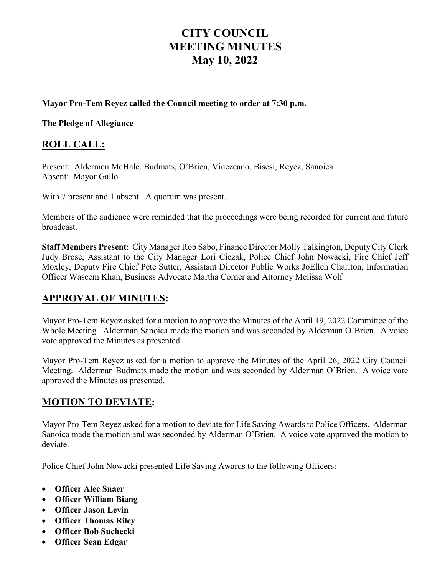# **CITY COUNCIL MEETING MINUTES May 10, 2022**

#### **Mayor Pro-Tem Reyez called the Council meeting to order at 7:30 p.m.**

**The Pledge of Allegiance** 

#### **ROLL CALL:**

Present: Aldermen McHale, Budmats, O'Brien, Vinezeano, Bisesi, Reyez, Sanoica Absent: Mayor Gallo

With 7 present and 1 absent. A quorum was present.

Members of the audience were reminded that the proceedings were being recorded for current and future broadcast.

**Staff Members Present**: City Manager Rob Sabo, Finance Director Molly Talkington, Deputy City Clerk Judy Brose, Assistant to the City Manager Lori Ciezak, Police Chief John Nowacki, Fire Chief Jeff Moxley, Deputy Fire Chief Pete Sutter, Assistant Director Public Works JoEllen Charlton, Information Officer Waseem Khan, Business Advocate Martha Corner and Attorney Melissa Wolf

#### **APPROVAL OF MINUTES:**

Mayor Pro-Tem Reyez asked for a motion to approve the Minutes of the April 19, 2022 Committee of the Whole Meeting. Alderman Sanoica made the motion and was seconded by Alderman O'Brien. A voice vote approved the Minutes as presented.

Mayor Pro-Tem Reyez asked for a motion to approve the Minutes of the April 26, 2022 City Council Meeting. Alderman Budmats made the motion and was seconded by Alderman O'Brien. A voice vote approved the Minutes as presented.

#### **MOTION TO DEVIATE:**

Mayor Pro-Tem Reyez asked for a motion to deviate for Life Saving Awards to Police Officers. Alderman Sanoica made the motion and was seconded by Alderman O'Brien. A voice vote approved the motion to deviate.

Police Chief John Nowacki presented Life Saving Awards to the following Officers:

- **Officer Alec Snaer**
- **Officer William Biang**
- **Officer Jason Levin**
- **Officer Thomas Riley**
- **Officer Bob Suchecki**
- **Officer Sean Edgar**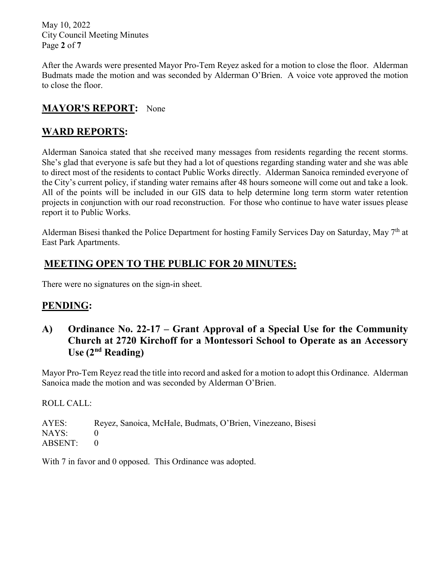May 10, 2022 City Council Meeting Minutes Page **2** of **7**

After the Awards were presented Mayor Pro-Tem Reyez asked for a motion to close the floor. Alderman Budmats made the motion and was seconded by Alderman O'Brien. A voice vote approved the motion to close the floor.

# **MAYOR'S REPORT:** None

# **WARD REPORTS:**

Alderman Sanoica stated that she received many messages from residents regarding the recent storms. She's glad that everyone is safe but they had a lot of questions regarding standing water and she was able to direct most of the residents to contact Public Works directly. Alderman Sanoica reminded everyone of the City's current policy, if standing water remains after 48 hours someone will come out and take a look. All of the points will be included in our GIS data to help determine long term storm water retention projects in conjunction with our road reconstruction. For those who continue to have water issues please report it to Public Works.

Alderman Bisesi thanked the Police Department for hosting Family Services Day on Saturday, May 7<sup>th</sup> at East Park Apartments.

# **MEETING OPEN TO THE PUBLIC FOR 20 MINUTES:**

There were no signatures on the sign-in sheet.

# **PENDING:**

**A) Ordinance No. 22-17 – Grant Approval of a Special Use for the Community Church at 2720 Kirchoff for a Montessori School to Operate as an Accessory Use (2nd Reading)**

Mayor Pro-Tem Reyez read the title into record and asked for a motion to adopt this Ordinance. Alderman Sanoica made the motion and was seconded by Alderman O'Brien.

ROLL CALL:

AYES: Reyez, Sanoica, McHale, Budmats, O'Brien, Vinezeano, Bisesi NAYS: 0 ABSENT: 0

With 7 in favor and 0 opposed. This Ordinance was adopted.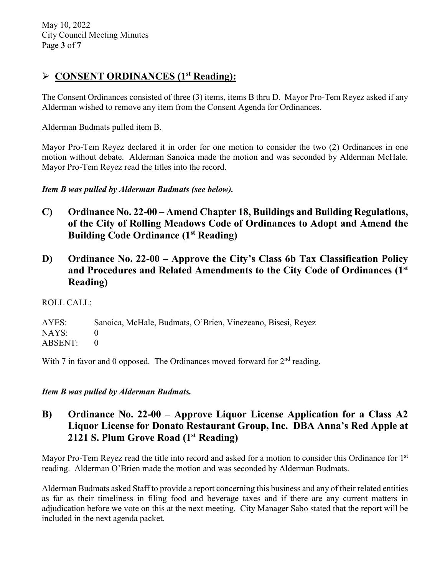# **CONSENT ORDINANCES (1st Reading):**

The Consent Ordinances consisted of three (3) items, items B thru D. Mayor Pro-Tem Reyez asked if any Alderman wished to remove any item from the Consent Agenda for Ordinances.

Alderman Budmats pulled item B.

Mayor Pro-Tem Reyez declared it in order for one motion to consider the two (2) Ordinances in one motion without debate. Alderman Sanoica made the motion and was seconded by Alderman McHale. Mayor Pro-Tem Reyez read the titles into the record.

*Item B was pulled by Alderman Budmats (see below).*

- **C) Ordinance No. 22-00 – Amend Chapter 18, Buildings and Building Regulations, of the City of Rolling Meadows Code of Ordinances to Adopt and Amend the Building Code Ordinance (1st Reading)**
- **D) Ordinance No. 22-00 – Approve the City's Class 6b Tax Classification Policy and Procedures and Related Amendments to the City Code of Ordinances (1st Reading)**

ROLL CALL:

AYES: Sanoica, McHale, Budmats, O'Brien, Vinezeano, Bisesi, Reyez NAYS: 0 ABSENT: 0

With 7 in favor and 0 opposed. The Ordinances moved forward for  $2<sup>nd</sup>$  reading.

*Item B was pulled by Alderman Budmats.*

### **B) Ordinance No. 22-00 – Approve Liquor License Application for a Class A2 Liquor License for Donato Restaurant Group, Inc. DBA Anna's Red Apple at 2121 S. Plum Grove Road (1st Reading)**

Mayor Pro-Tem Reyez read the title into record and asked for a motion to consider this Ordinance for 1<sup>st</sup> reading. Alderman O'Brien made the motion and was seconded by Alderman Budmats.

Alderman Budmats asked Staff to provide a report concerning this business and any of their related entities as far as their timeliness in filing food and beverage taxes and if there are any current matters in adjudication before we vote on this at the next meeting. City Manager Sabo stated that the report will be included in the next agenda packet.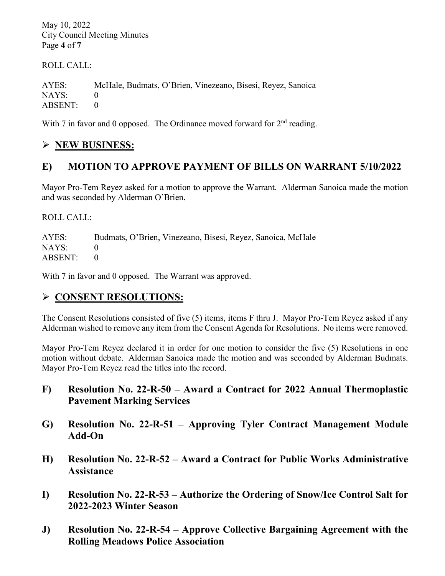May 10, 2022 City Council Meeting Minutes Page **4** of **7**

ROLL CALL:

AYES: McHale, Budmats, O'Brien, Vinezeano, Bisesi, Reyez, Sanoica NAYS: 0 ABSENT: 0

With 7 in favor and 0 opposed. The Ordinance moved forward for  $2<sup>nd</sup>$  reading.

# **NEW BUSINESS:**

# **E) MOTION TO APPROVE PAYMENT OF BILLS ON WARRANT 5/10/2022**

Mayor Pro-Tem Reyez asked for a motion to approve the Warrant. Alderman Sanoica made the motion and was seconded by Alderman O'Brien.

ROLL CALL:

AYES: Budmats, O'Brien, Vinezeano, Bisesi, Reyez, Sanoica, McHale NAYS: 0 ABSENT: 0

With 7 in favor and 0 opposed. The Warrant was approved.

# **CONSENT RESOLUTIONS:**

The Consent Resolutions consisted of five (5) items, items F thru J. Mayor Pro-Tem Reyez asked if any Alderman wished to remove any item from the Consent Agenda for Resolutions. No items were removed.

Mayor Pro-Tem Reyez declared it in order for one motion to consider the five (5) Resolutions in one motion without debate. Alderman Sanoica made the motion and was seconded by Alderman Budmats. Mayor Pro-Tem Reyez read the titles into the record.

- **F) Resolution No. 22-R-50 – Award a Contract for 2022 Annual Thermoplastic Pavement Marking Services**
- **G) Resolution No. 22-R-51 – Approving Tyler Contract Management Module Add-On**
- **H) Resolution No. 22-R-52 – Award a Contract for Public Works Administrative Assistance**
- **I) Resolution No. 22-R-53 – Authorize the Ordering of Snow/Ice Control Salt for 2022-2023 Winter Season**
- **J) Resolution No. 22-R-54 – Approve Collective Bargaining Agreement with the Rolling Meadows Police Association**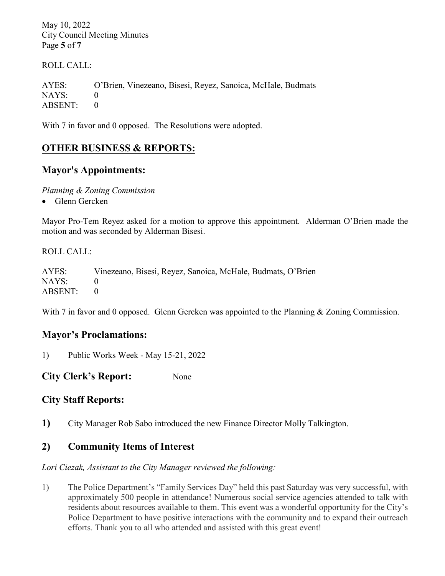May 10, 2022 City Council Meeting Minutes Page **5** of **7**

ROLL CALL:

AYES: O'Brien, Vinezeano, Bisesi, Reyez, Sanoica, McHale, Budmats NAYS: 0 ABSENT: 0

With 7 in favor and 0 opposed. The Resolutions were adopted.

# **OTHER BUSINESS & REPORTS:**

#### **Mayor's Appointments:**

*Planning & Zoning Commission*

• Glenn Gercken

Mayor Pro-Tem Reyez asked for a motion to approve this appointment. Alderman O'Brien made the motion and was seconded by Alderman Bisesi.

ROLL CALL:

AYES: Vinezeano, Bisesi, Reyez, Sanoica, McHale, Budmats, O'Brien  $NAYS: 0$ ABSENT: 0

With 7 in favor and 0 opposed. Glenn Gercken was appointed to the Planning & Zoning Commission.

#### **Mayor's Proclamations:**

1) Public Works Week - May 15-21, 2022

**City Clerk's Report:** None

#### **City Staff Reports:**

**1)** City Manager Rob Sabo introduced the new Finance Director Molly Talkington.

#### **2) Community Items of Interest**

*Lori Ciezak, Assistant to the City Manager reviewed the following:* 

1) The Police Department's "Family Services Day" held this past Saturday was very successful, with approximately 500 people in attendance! Numerous social service agencies attended to talk with residents about resources available to them. This event was a wonderful opportunity for the City's Police Department to have positive interactions with the community and to expand their outreach efforts. Thank you to all who attended and assisted with this great event!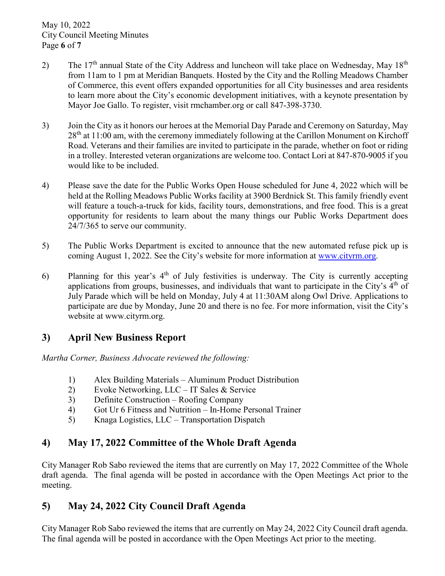- 2) The  $17<sup>th</sup>$  annual State of the City Address and luncheon will take place on Wednesday, May  $18<sup>th</sup>$ from 11am to 1 pm at Meridian Banquets. Hosted by the City and the Rolling Meadows Chamber of Commerce, this event offers expanded opportunities for all City businesses and area residents to learn more about the City's economic development initiatives, with a keynote presentation by Mayor Joe Gallo. To register, visit rmchamber.org or call 847-398-3730.
- 3) Join the City as it honors our heroes at the Memorial Day Parade and Ceremony on Saturday, May  $28<sup>th</sup>$  at 11:00 am, with the ceremony immediately following at the Carillon Monument on Kirchoff Road. Veterans and their families are invited to participate in the parade, whether on foot or riding in a trolley. Interested veteran organizations are welcome too. Contact Lori at 847-870-9005 if you would like to be included.
- 4) Please save the date for the Public Works Open House scheduled for June 4, 2022 which will be held at the Rolling Meadows Public Works facility at 3900 Berdnick St. This family friendly event will feature a touch-a-truck for kids, facility tours, demonstrations, and free food. This is a great opportunity for residents to learn about the many things our Public Works Department does 24/7/365 to serve our community.
- 5) The Public Works Department is excited to announce that the new automated refuse pick up is coming August 1, 2022. See the City's website for more information at [www.cityrm.org.](http://www.cityrm.org/)
- 6) Planning for this year's  $4<sup>th</sup>$  of July festivities is underway. The City is currently accepting applications from groups, businesses, and individuals that want to participate in the City's  $4<sup>th</sup>$  of July Parade which will be held on Monday, July 4 at 11:30AM along Owl Drive. Applications to participate are due by Monday, June 20 and there is no fee. For more information, visit the City's website at www.cityrm.org.

#### **3) April New Business Report**

*Martha Corner, Business Advocate reviewed the following:* 

- 1) Alex Building Materials Aluminum Product Distribution
- 2) Evoke Networking, LLC IT Sales & Service
- 3) Definite Construction Roofing Company
- 4) Got Ur 6 Fitness and Nutrition In-Home Personal Trainer
- 5) Knaga Logistics, LLC Transportation Dispatch

# **4) May 17, 2022 Committee of the Whole Draft Agenda**

City Manager Rob Sabo reviewed the items that are currently on May 17, 2022 Committee of the Whole draft agenda. The final agenda will be posted in accordance with the Open Meetings Act prior to the meeting.

# **5) May 24, 2022 City Council Draft Agenda**

City Manager Rob Sabo reviewed the items that are currently on May 24, 2022 City Council draft agenda. The final agenda will be posted in accordance with the Open Meetings Act prior to the meeting.